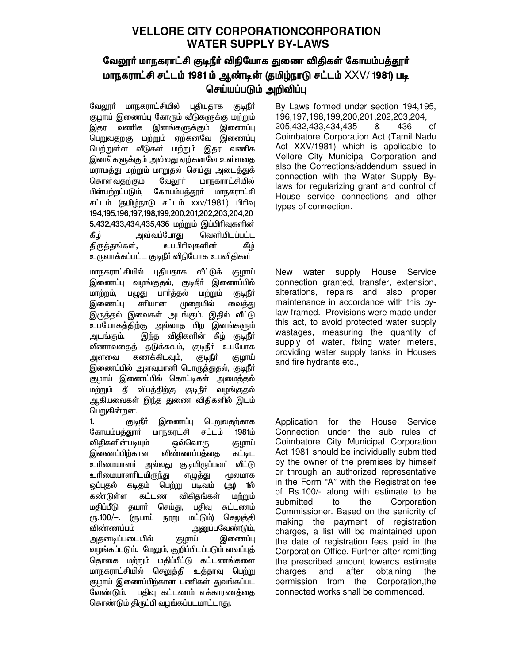# **VELLORE CITY CORPORATIONCORPORATION WATER SUPPLY BY-LAWS**

# வேலூர் மாநகராட்சி குடிநீர் விநியோக துணை விதிகள் கோயம்பத்தூர் மாநகராட்சி சட்டம் 1981 ம் ஆண்டின் (தமிழ்நாடு சட்டம் XXV/ 1981) படி செய்யப்படும் அறிவிப்பு

வேலார் மாநகராட்சியில் புகியதாக குடிநீர் குழாய் இணைப்பு கோரும் வீடுகளுக்கு மற்றும் இதா வணிக இனங்களுக்கும் இணைப்பு பெறுவதற்கு மற்றும் ஏற்கனவே இணைப்பு பெற்றுள்ள வீடுகள் மற்றும் இதர வணிக இனங்களுக்கும் அல்லது ஏற்கனவே உள்ளதை மராமத்து மற்றும் மாறுதல் செய்து அடைத்துக் கொள்வகற்கும் வேலார் மாநகராட்சியில் பின்பற்றப்படும். கோயம்பத்தூா் மாநகராட்சி சட்டம் (தமிழ்நாடு சட்டம் xxv/1981) பிரிவு 194, 195, 196, 197, 198, 199, 200, 201, 202, 203, 204, 20 5,432,433,434,435,436 மற்றும் இப்பிரிவுகளின் அவ்வப்போ<u>க</u>ு வெளியிடப்பட்ட கீழ் உபபிரிவுகளின் கீழ் திருத்தங்கள், உருவாக்கப்பட்ட குடிநீர் விநியோக உபவிதிகள்

மாநகராட்சியில் புதியதாக வீட்டுக் குழாய் இணைப்பு வழங்குதல், குடிநீர் இணைப்பில் பார்த்தல் மாற்றம், மற்றும் பழுது (குடிநீர் சரியான முறையில் இணைப்பு வைத்து இருத்தல் இவைகள் அடங்கும். இதில் வீட்டு உபயோகத்திற்கு அல்லாத பிற இனங்களும் அடங்கும். இந்த விதிகளின் கீழ் குடிநீர் வீணாவதைத் தடுக்கவும், குடிநீர் உபயோக கணக்கிடவும், அளவை ருடிநீர் குழாய் இணைப்பில் அளவுமானி பொருத்துதல், குடிநீா் குழாய் இணைப்பில் தொட்டிகள் அமைத்தல் மற்றும் தீ விபத்திற்கு குடிநீா் வழங்குதல் ஆகியவைகள் இந்த துணை விதிகளில் இடம் பெறுகின்றன.

குடிநீா் இணைப்பு பெறுவதற்காக  $\mathbf{1}$ மாநகரட்சி சட்டம் 1981ம் கோயம்பத்<u>க</u>ுாா் விதிகளின்படியும் ஒவ்வொரு குழாய் இணைப்பிற்கான விண்ணப்பக்கை கட்டிட உரிமையாளா் அல்லது குடியிருப்பவா் வீட்டு உரிமையாளரிடமிருந்து எழுத்து **ரூலமாக** ஒப்புதல் கடிதம் பெ<u>ற்று</u> படிவம் (அ) 1ல் கண்டுள்ள கட்டண விகிதங்கள் மற்றும் செய்து, மதிப்பீடு தயார் பதிவு கட்டணம் ரூ.100/—. (ரூபாய் நூறு மட்டும்) செலுத்தி அனுப்பவேண்டும். விண்ணப்பம் இணைப்பு அதனடிப்படையில் குழாய் வழங்கப்படும். மேலும், குறிப்பிடப்படும் வைப்புத் தொகை மற்றும் மதிப்பீட்டு கட்டணங்களை மாநகராட்சியில் செலுத்தி உத்தரவு பெற்று குழாய் இணைப்பிற்கான பணிகள் துவங்கப்பட வேண்டும். பதிவு கட்டணம் எக்காரணத்தை கொண்டும் திருப்பி வழங்கப்படமாட்டாது.

By Laws formed under section 194,195, 196, 197, 198, 199, 200, 201, 202, 203, 204, 205,432,433,434,435 436 ୍ୟ of Coimbatore Corporation Act (Tamil Nadu Act XXV/1981) which is applicable to Vellore City Municipal Corporation and also the Corrections/addendum issued in connection with the Water Supply Bylaws for regularizing grant and control of House service connections and other types of connection.

water supply House Service New connection granted, transfer, extension, alterations, repairs and also proper maintenance in accordance with this bylaw framed. Provisions were made under this act, to avoid protected water supply wastages, measuring the quantity of supply of water, fixing water meters, providing water supply tanks in Houses and fire hydrants etc.,

for the House Service Application Connection under the sub rules of Coimbatore City Municipal Corporation Act 1981 should be individually submitted by the owner of the premises by himself or through an authorized representative in the Form "A" with the Registration fee of Rs.100/- along with estimate to be submitted to the Corporation Commissioner. Based on the seniority of making the payment of registration charges, a list will be maintained upon the date of registration fees paid in the Corporation Office. Further after remitting the prescribed amount towards estimate charges and after obtaining the permission from the Corporation, the connected works shall be commenced.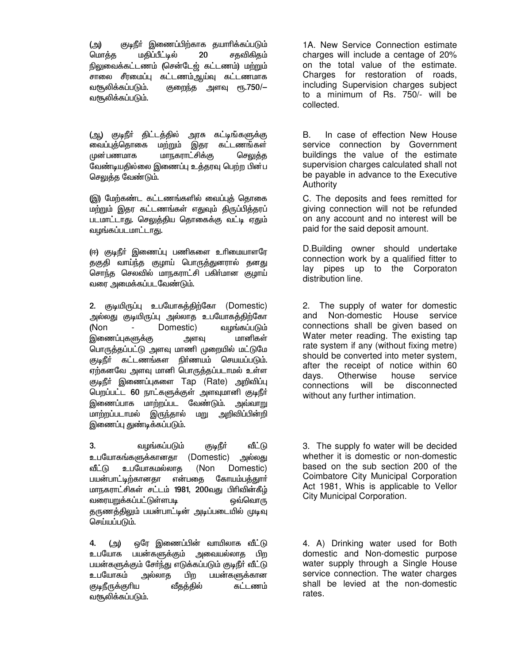குடிநீா் இணைப்பிற்காக தயாாிக்கப்படும் (அ) 20 மொத்த மதிப்பீட்டில் சதவிகிதம் நிலுவைக்கட்டணம் (சென்டேஜ் கட்டணம்) மற்றும் சாலை சீரமைப்பு கட்டணம்ஆய்வு கட்டணமாக வசூலிக்கப்படும். குறைந்த அளவு ரூ.750/-வசூலிக்கப்படும்.

(ஆ) குடிநீர் திட்டத்தில் அரசு கட்டிங்களுக்கு வைப்புத்தொகை மற்றும் இதர கட்டணங்கள் முன்பணமாக மாநகராட்சிக்கு செலுக்க வேண்டியதில்லை இணைப்பு உத்தரவு பெற்ற பின்ப செலுத்த வேண்டும்.

(இ) மேற்கண்ட கட்டணங்களில் வைப்புத் தொகை மற்றும் இதர கட்டணங்கள் எதுவும் திருப்பித்தரப் படமாட்டாது. செலுத்திய தொகைக்கு வட்டி ஏதும் வழங்கப்படமாட்டாது.

(ஈ) குடிநீா் இணைப்பு பணிகளை உரிமையாளரே தகுதி வாய்ந்த குழாய் பொருத்துனரால் தனது சொந்த செலவில் மாநகராட்சி பகிர்மான குழாய் வரை அமைக்கப்படவேண்டும்.

2. குடியிருப்பு உபயோகத்திற்கோ (Domestic) அல்லது குடியிருப்பு அல்லாத உபயோகத்திற்கோ Domestic) வழங்கப்படும் (Non அளவு மானிகள் இணைப்புகளுக்கு பொருத்தப்பட்டு அளவு மாணி முறையில் மட்டுமே குடிநீா் கட்டணங்கள நிா்ணயம் செயயப்படும். ஏற்கனவே அளவு மானி பொருத்தப்படாமல் உள்ள குடிநீர் இணைப்புகளை Tap (Rate) அறிவிப்பு பெறப்பட்ட 60 நாட்களுக்குள் அளவுமானி குடிநீர் இணைப்பாக மாற்றப்பட வேண்டும். <u>அவ்வாறு</u> மாற்றப்படாமல் இருந்தால் மறு அறிவிப்பின்றி இணைப்பு துண்டிக்கப்படும்.

3. வழங்கப்படும் குடிநீா் வீட்டு உபயோகங்களுக்கானதா (Domestic) அல்லது வீட்டு உபயோகமல்லாக (Non Domestic) பயன்பாட்டிற்கானதா என்பகை கோயம்பக்குார் மாநகராட்சிகள் சட்டம் 1981, 200வது பிரிவின்கீழ் வரையறுக்கப்பட்டுள்ளபடி ஒவ்வொரு தருணத்திலும் பயன்பாட்டின் அடிப்படையில் முடிவு செய்யப்படும்.

ஒரே இணைப்பின் வாயிலாக வீட்டு  $4.$ (அ) உபயோக பயன்களுக்கும் அவையல்லாத பிற பயன்களுக்கும் சேர்ந்து எடுக்கப்படும் குடிநீர் வீட்டு அல்லாக உபயோகம் பிற பயன்களுக்கான கட்டணம் குடிநீருக்குரிய வீதத்தில் வசூலிக்கப்படும்.

1A. New Service Connection estimate charges will include a centage of 20% on the total value of the estimate. Charges for restoration of roads, including Supervision charges subject to a minimum of Rs. 750/- will be collected.

B. In case of effection New House service connection by Government buildings the value of the estimate supervision charges calculated shall not be payable in advance to the Executive Authority

C. The deposits and fees remitted for giving connection will not be refunded on any account and no interest will be paid for the said deposit amount.

D.Building owner should undertake connection work by a qualified fitter to lay pipes up to the Corporaton distribution line.

 $2.$ The supply of water for domestic and Non-domestic House service connections shall be given based on Water meter reading. The existing tap rate system if any (without fixing metre) should be converted into meter system, after the receipt of notice within 60 davs. Otherwise house service connections will be disconnected without any further intimation.

3. The supply fo water will be decided whether it is domestic or non-domestic based on the sub section 200 of the Coimbatore City Municipal Corporation Act 1981, Whis is applicable to Vellor City Municipal Corporation.

4. A) Drinking water used for Both domestic and Non-domestic purpose water supply through a Single House service connection. The water charges shall be levied at the non-domestic rates.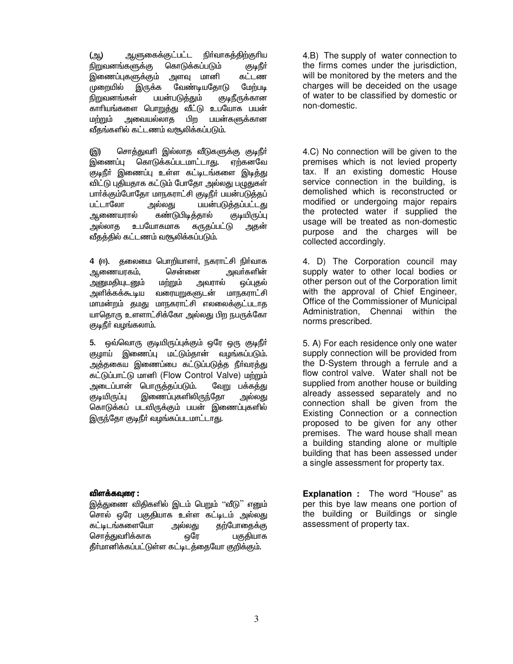ஆளுகைக்குட்பட்ட நிர்வாகத்திற்குரிய (ஆ) <u>நிறுவனங்களுக்கு</u> கொடுக்கப்படும் (குடிநீர் இணைப்புகளுக்கும் அளவு மானி கட்டண வேண்டியதோடு முறையில் இருக்க மேற்படி நிறுவனங்கள் பயன்படுத்தும் குடிநீருக்கான காரியங்களை பொறுத்து வீட்டு உபயோக பயன் மற்றும் அவையல்லாத பிற பயன்களுக்கான வீதங்களில் கட்டணம் வசூலிக்கப்படும்.

சொத்துவரி இல்லாத வீடுகளுக்கு குடிநீர் (இ) இணைப்ப கொடுக்கப்படமாட்டா<u>த</u>ு. ஏற்கனவே குடிநீர் இணைப்பு உள்ள கட்டிடங்களை இடித்து விட்டு புதியதாக கட்டும் போதோ அல்லது பமுதுகள் பார்க்கும்போதோ மாநகராட்சி குடிநீர் பயன்படுத்தப் பட்டாலோ <u>அல்லது</u> பயன்படுத்தப்பட்டது ஆணையரால் கண்டுபிடித்தால் குடியிருப்பு அல்லாத உபயோகமாக கருதப்பட்டு அதன் வீதத்தில் கட்டணம் வசூலிக்கப்படும்.

4 (ஈ). தலைமை பொறியாளர், நகராட்சி நிர்வாக ஆணையரகம், சென்னை அவா்களின் அனுமதியுடனும் மற்றும் அவரால் ஒப்புதல் அளிக்கக்கூடிய மாநகராட்சி வரையறுகளுடன் மாமன்றம் தமது மாநகராட்சி எலலைக்குட்படாத யாதொரு உளளாட்சிக்கோ அல்லது பிற நபருக்கோ குடிநீர் வழங்கலாம்.

5. ஒவ்வொரு குடியிருப்புக்கும் ஒரே ஒரு குடிநீா் குழாய் இணைப்பு மட்டும்தான் வழங்கப்படும். அத்தகைய இணைப்பை கட்டுப்படுத்த நீா்வரத்து கட்டுப்பாட்டு மானி (Flow Control Valve) மற்றும் அடைப்பான் பொருத்தப்படும். வேறு பக்கத்து இணைப்புகளிலிருந்தோ குடியிருப்பு அல்லது கொடுக்கப் படவிருக்கும் பயன் இணைப்புகளில் இருந்தோ குடிநீர் வழங்கப்படமாட்டாது.

## விளக்கவுரை :

இத்துணை விதிகளில் இடம் பெறும் ''வீடு'' எனும் சொல் ஒரே பகுதியாக உள்ள கட்டிடம் அல்லது கட்டிடங்களையோ அல்லது தற்போதைக்கு சொத்துவரிக்காக பகுதியாக ஒரே தீர்மானிக்கப்பட்டுள்ள கட்டிடத்தையோ குறிக்கும்.

4.B) The supply of water connection to the firms comes under the jurisdiction, will be monitored by the meters and the charges will be deceided on the usage of water to be classified by domestic or non-domestic.

4.C) No connection will be given to the premises which is not levied property tax. If an existing domestic House service connection in the building, is demolished which is reconstructed or modified or undergoing major repairs the protected water if supplied the usage will be treated as non-domestic purpose and the charges will be collected accordingly.

4. D) The Corporation council may supply water to other local bodies or other person out of the Corporation limit with the approval of Chief Engineer, Office of the Commissioner of Municipal Administration, Chennai within the norms prescribed.

5. A) For each residence only one water supply connection will be provided from the D-System through a ferrule and a flow control valve. Water shall not be supplied from another house or building already assessed separately and no connection shall be given from the Existing Connection or a connection proposed to be given for any other premises. The ward house shall mean a building standing alone or multiple building that has been assessed under a single assessment for property tax.

**Explanation :** The word "House" as per this bye law means one portion of the building or Buildings or single assessment of property tax.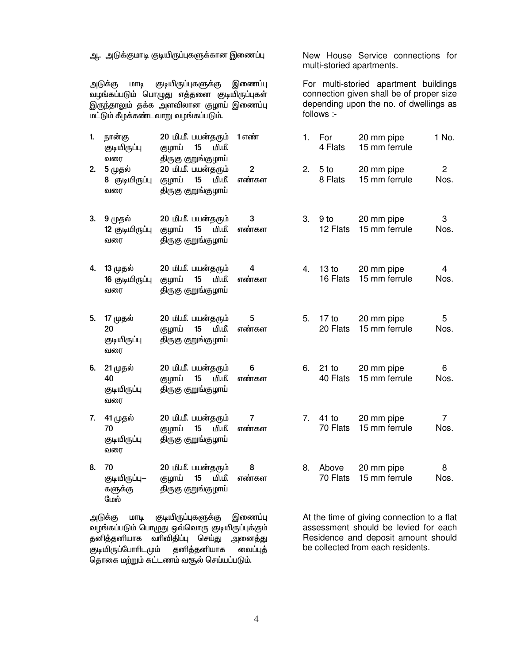ஆ. அடுக்குமாடி குடியிருப்புகளுக்கான இணைப்பு

குடியிருப்புகளுக்கு அடுக்கு மாடி இணைப்பு வழங்கப்படும் பொழுது எத்தனை குடியிருப்புகள் இருந்தாலும் தக்க அளவிலான குழாய் இணைப்பு மட்டும் கீழக்கண்டவாறு வழங்கப்படும்.

20 மி.மீ. பயன்கரும் 1 எண் 1. நான்கு குடியிருப்பு குழாய் 15 மி.மீ. வரை திருகு குறுங்குழாய் 20 மி.மீ. பயன்தரும்  $\mathfrak{p}$ 2. 5 முதல்

- 8 குடியிருப்பு குழாய் 15 மி.மீ. எண்கள திருகு குறுங்குழாய் வரை
- 20 மி.மீ. பயன்கரும் 3 3. 9 முகல் குழாய் 15 12 குடியிருப்பு மி.மீ. எண்கள வரை திருகு குறுங்குழாய்
- 4. 13 முதல் 20 மி.மீ. பயன்தரும்  $\overline{a}$ குமாய் 15 மி.மீ. எண்கள 16 குடியிருப்பு வரை திருகு குறுங்கு<u>ம</u>ாய்
- 20 மி.மீ. பயன்தரும் 5 5. 17 முதல் குழாய் 15 மி.மீ. எண்கள 20 குடியிருப்பு திருகு குறுங்குழாய் வரை
- 6. 21 முதல் 20 மி.மீ. பயன்தரும் 6 40 குழாய் 15 மி.மீ. எண்கள குடியிருப்பு திருகு குறுங்குழாய் வரை
- 7. 41 முதல் 20 மி.மீ. பயன்தரும்  $\overline{7}$ 70 குழாய் 15 மி.மீ. எண்கள குடியிருப்பு திருகு குறுங்குழாய் வரை
- 8. 70 20 மி.மீ. பயன்தரும் 8 15 குடியிருப்பு— குழாய் மி.மீ. எண்கள களுக்கு திருகு குறுங்குழாய் மேல்

குடியிருப்புகளுக்கு அடுக்கு மாடி இணைப்பு வழங்கப்படும் பொழுது ஒவ்வொரு குடியிருப்புக்கும் தனித்தனியாக வரிவிதிப்பு செய்து அனைத்து தனித்தனியாக குடியிருப்போரிடமும் வைப்புத் தொகை மற்றும் கட்டணம் வசூல் செய்யப்படும்.

New House Service connections for multi-storied apartments.

For multi-storied apartment buildings connection given shall be of proper size depending upon the no. of dwellings as follows :-

|  | 1. For 20 mm pipe<br>4 Flats 15 mm ferrule      | 1 No.     |
|--|-------------------------------------------------|-----------|
|  | 2. 5 to 20 mm pipe<br>8 Flats 15 mm ferrule     | 2<br>Nos. |
|  | 3. 9 to 20 mm pipe<br>12 Flats 15 mm ferrule    | 3<br>Nos. |
|  | 4. 13 to 20 mm pipe<br>16 Flats 15 mm ferrule   | 4<br>Nos. |
|  | 5. 17 to 20 mm pipe<br>20 Flats – 15 mm ferrule | 5<br>Nos. |

6. 21 to 6 20 mm pipe 40 Flats 15 mm ferrule Nos.

- $\overline{7}$ 7. 41 to 20 mm pipe 70 Flats 15 mm ferrule Nos.
- $\mathbf{8}$ 8. Above 20 mm pipe 70 Flats 15 mm ferrule Nos.

At the time of giving connection to a flat assessment should be levied for each Residence and deposit amount should be collected from each residents.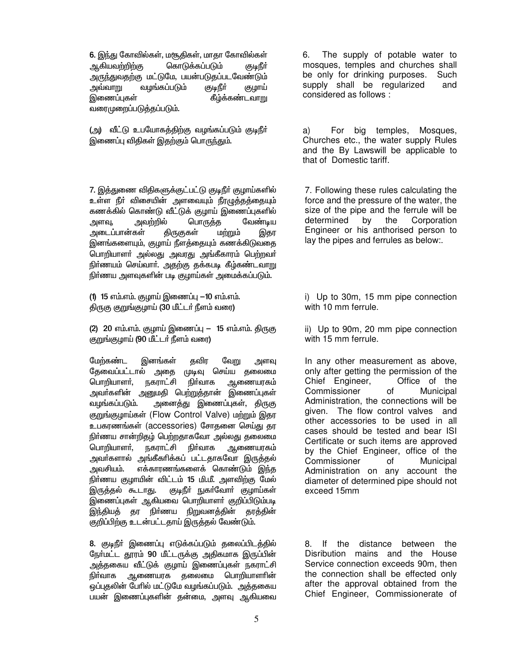6. இந்து கோவில்கள், மசூதிகள், மாதா கோவில்கள் ஆகியவற்றிற்க<u>ு</u> கொடுக்கப்படும் (குடிநீர் அருந்துவதற்கு மட்டுமே, பயன்படுதப்படவேண்டும் அவ்வாறு வழங்கப்படும் ருடிநீர் குழாய் இணைப்புகள் கீழ்க்கண்டவாறு வரைமுறைப்படுத்தப்படும்.

(அ) வீட்டு உபயோகத்திற்கு வழங்கப்படும் குடிநீர் இணைப்பு விதிகள் இதற்கும் பொருந்தும்.

7. இத்துணை விதிகளுக்குட்பட்டு குடிநீர் குழாய்களில் உள்ள நீா் விசையின் அளவையும் நீரழுத்தத்தையும் கணக்கில் கொண்டு வீட்டுக் குழாய் இணைப்புகளில் அவற்றில் பொருத்த வேண்டிய அளவு, அடைப்பான்கள் திருகுகள் மற்றும் இதர இனங்களையும், குழாய் நீளத்தையும் கணக்கிடுவதை பொறியாளா் அல்லது அவரது அங்கீகாரம் பெற்றவா் நிர்ணயம் செய்வார். அதற்கு தக்கபடி கீழ்கண்டவாறு நிர்ணய அளவுகளின் படி குழாய்கள் அமைக்கப்படும்.

(1) 15 எம்.எம். குமாய் இணைப்பு  $-10$  எம்.எம். திருகு குறுங்குழாய் (30 மீட்டர் நீளம் வரை)

(2) 20 எம்.எம். குழாய் இணைப்பு — 15 எம்.எம். திருகு குறுங்குழாய் (90 மீட்டர் நீளம் வரை)

மேற்கண்ட தவிர இனங்கள் வேறு அளவு தேவைப்பட்டால் முடிவு செய்ய தலைமை அதை பொறியாளா். நகராட்சி நிர்வாக ஆணையரகம் அவா்களின் அனுமதி பெற்றுத்தான் இணைப்புகள் வழங்கப்படும். அனைத்து இணைப்புகள், திருகு குறுங்குழாய்கள் (Flow Control Valve) மற்றும் இதர உபகரணங்கள் (accessories) சோதனை செய்து தர நிா்ணய சான்றிதழ் பெற்றதாகவோ அல்லது தலைமை பொறியாளர், நகராட்சி நிர்வாக ஆணையரகம் அவர்களால் அங்கீகரிக்கப் பட்டதாகவோ இருத்தல் அவசியம். எக்காரணங்களைக் கொண்டும் இந்த நிர்ணய குழாயின் விட்டம் 15 மி.மீ. அளவிற்கு மேல் இருத்தல் கூடா<u>து.</u> குடிநீா் நுகா்வோா் குழாய்கள் இணைப்புகள் ஆகியவை பொறியாளர் குறிப்பிடும்படி இந்தியத் தர நிர்ணய நிறுவனத்தின் தரத்தின் குறிப்பிற்கு உடன்பட்டதாய் இருத்தல் வேண்டும்.

8. குடிநீா் இணைப்பு எடுக்கப்படும் தலைப்பிடத்தில் நோ்மட்ட தூரம் 90 மீட்டருக்கு அதிகமாக இருப்பின் அத்தகைய வீட்டுக் குழாய் இணைப்புகள் நகராட்சி தலைமை பொ<u>றி</u>யாளாின் நிர்வாக ஆணையரக ஒப்புதலின் பேரில் மட்டுமே வழங்கப்படும். அத்தகைய பயன் இணைப்புகளின் தன்மை, அளவு ஆகியவை

The supply of potable water to 6. mosques, temples and churches shall be only for drinking purposes. Such supply shall be regularized and considered as follows :

a) For bia temples. Mosques. Churches etc., the water supply Rules and the By Lawswill be applicable to that of Domestic tariff.

7. Following these rules calculating the force and the pressure of the water, the size of the pipe and the ferrule will be determined by the Corporation Engineer or his anthorised person to lay the pipes and ferrules as below:.

i) Up to 30m, 15 mm pipe connection with 10 mm ferrule.

ii) Up to 90m, 20 mm pipe connection with 15 mm ferrule.

In any other measurement as above, only after getting the permission of the Office of the Chief Engineer, Commissioner of Municipal Administration, the connections will be given. The flow control valves and other accessories to be used in all cases should be tested and bear ISI Certificate or such items are approved by the Chief Engineer, office of the Commissioner of Municipal Administration on any account the diameter of determined pipe should not exceed 15mm

8. If the distance between the Disribution mains and the House Service connection exceeds 90m, then the connection shall be effected only after the approval obtained from the Chief Engineer, Commissionerate of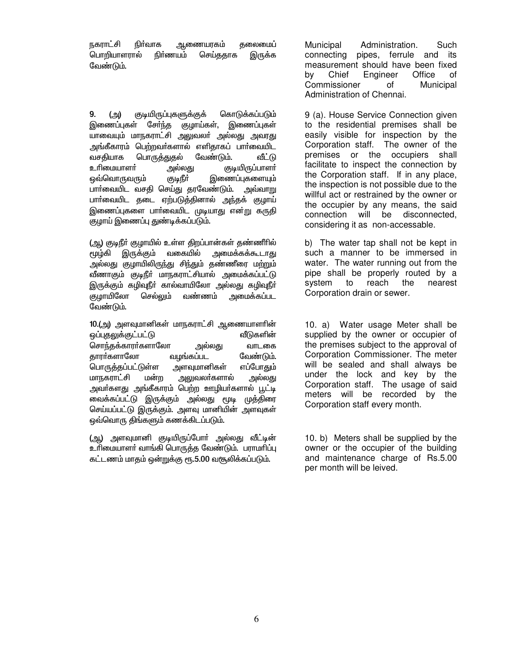<u>நகராட்</u>சி ஆணையரகம் நிர்வாக தலைமைப் பொறியாளரால் நிர்ணயம் செய்ததாக இருக்க வேண்டும்.

9. (அ) குடியிருப்புகளுக்குக் கொடுக்கப்படும் இணைப்புகள் சேர்ந்த குழாய்கள், இணைப்புகள் யாவையும் மாநகராட்சி அலுவலா் அல்லது அவரது அங்கீகாரம் பெற்றவர்களால் எளிகாகப் பார்வையிட பொருத்துதல் வேண்டும். வசகியாக வீட்டு உரிமையாளர் (தடியிருப்பாளர் அல்லகு இணைப்புகளையும் ஒவ்வொருவரும் ருடிநீர் பார்வையிட வசதி செய்து தரவேண்டும். அவ்வாறு பார்வையிட தடை ஏற்படுத்தினால் அந்தக் குழாய் இணைப்புகளை பாா்வையிட முடியாது என்று கருதி குழாய் இணைப்பு துண்டிக்கப்படும்.

(ஆ) குடிநீர் குழாயில் உள்ள திறப்பான்கள் தண்ணீரில் இருக்கும் வகையில் அமைக்கக்கூடாது மூழ்கி அல்லது குழாயிலிருந்து சிந்தும் தண்ணீரை மற்றும் வீணாகும் குடிநீர் மாநகராட்சியால் அமைக்கப்பட்டு இருக்கும் கழிவுநீர் கால்வாயிலோ அல்லது கழிவுநீர் குழாயிலோ செல்லும் வண்ணம் அமைக்கப்பட வேண்டும்.

10.(அ) அளவுமானிகள் மாநகராட்சி ஆணையாளாின் ஒப்புதலுக்குட்பட்டு வீடுகளின் சொந்தக்காரா்களாலோ அல்லது வாடகை வழங்கப்பட காார்களாலோ வேண்டும். பொருத்தப்பட்டுள்ள அளவுமானிகள் எப்போதும் மாநகராட்சி மன்ற அலுவலா்களால் அல்லது அவர்களது அங்கீகாரம் பெற்ற ஊழியர்களால் பூட்டி வைக்கப்பட்டு இருக்கும் அல்லது மூடி முத்திரை செய்யப்பட்டு இருக்கும். அளவு மானியின் அளவுகள் ஒவ்வொரு திங்களும் கணக்கிடப்படும்.

(ஆ) அளவுமானி குடியிருப்போர் அல்லது வீட்டின் உரிமையாளர் வாங்கி பொருக்க வேண்டும். பராமரிப்பு கட்டணம் மாகம் ஒன்றுக்கு ரூ.5.00 வசூலிக்கப்படும்.

Municipal Administration. Such pipes, ferrule and its connecting measurement should have been fixed bv Chief Engineer Office of Commissioner of Municipal Administration of Chennai.

9 (a). House Service Connection given to the residential premises shall be easily visible for inspection by the Corporation staff. The owner of the premises or the occupiers shall facilitate to inspect the connection by the Corporation staff. If in any place, the inspection is not possible due to the willful act or restrained by the owner or the occupier by any means, the said connection will be disconnected. considering it as non-accessable.

b) The water tap shall not be kept in such a manner to be immersed in water. The water running out from the pipe shall be properly routed by a system to reach the nearest Corporation drain or sewer.

10. a) Water usage Meter shall be supplied by the owner or occupier of the premises subject to the approval of Corporation Commissioner. The meter will be sealed and shall always be under the lock and key by the Corporation staff. The usage of said meters will be recorded by the Corporation staff every month.

10. b) Meters shall be supplied by the owner or the occupier of the building and maintenance charge of Rs.5.00 per month will be leived.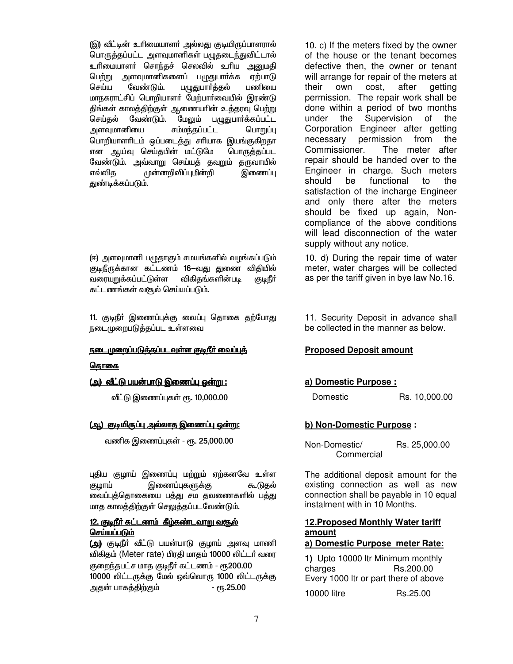(இ) வீட்டின் உரிமையாளா் அல்லது குடியிருப்பாளரால் பொருத்தப்பட்ட அளவுமானிகள் பழுதடைந்துவிட்டால் உரிமையாளர் சொந்தச் செலவில் உரிய அனுமதி பெற்று அளவுமானிகளைப் பழுதுபார்க்க ஏற்பாடு செய்ய வேண்டும். பழுதுபார்த்தல் பணியை மாநகராட்சிப் பொறியாளர் மேற்பார்வையில் இரண்டு திங்கள் காலத்திற்குள் ஆணையாின் உத்தரவு பெற்று செய்தல் வேண்டும். மேலும் பழுதுபார்க்கப்பட்ட சம்மந்தப்பட்ட அளவுமானியை பொறுப்பு பொறியாளரிடம் ஒப்படைத்து சரியாக இயங்குகிறதா என ஆய்வு செய்தபின் மட்டுமே பொருத்தப்பட வேண்டும். அவ்வாறு செய்யத் தவறும் தருவாயில் முன்னறிவிப்புமின்றி இணைப்பு எவ்விக துண்டிக்கப்படும்.

(ஈ) அளவுமானி பழுதாகும் சமயங்களில் வழங்கப்படும் குடிநீருக்கான கட்டணம் 16—வது துணை விதியில் விகிதங்களின்படி வரையறுக்கப்பட்டுள்ள (குடிநீர் கட்டணங்கள் வசூல் செய்யப்படும்.

11. குடிநீர் இணைப்புக்கு வைப்பு தொகை தற்போது நடைமுறைபடுத்தப்பட உள்ளவை

#### <u>நடைமுறைப்படுத்தப்படவுள்ள குடிநீர் வைப்புத்</u>

#### தொகை

#### <u>(அ) வீட்டு பயன்பாடு இணைப்பு ஒன்று :</u>

வீட்டு இணைப்புகள் ரூ. 10,000.00

#### <u>(அ.) குடியிருப்பு அல்லாத இணைப்பு ஒன்று:</u>

வணிக இணைப்புகள் - ரூ. 25,000.00

புதிய குழாய் இணைப்பு மற்றும் ஏற்கனவே உள்ள இணைப்புகளுக்கு குமாய் கூடுதல் வைப்புத்தொகையை பத்து சம தவணைகளில் பத்து மாத காலத்திற்குள் செலுத்தப்படவேண்டும்.

### 12. குடிநீர் கட்டணம் கீழ்கண்டவாறு வசூல் செய்யப்படும்

(அ) குடிநீா் வீட்டு பயன்பாடு குழாய் அளவு மாணி விகிதம் (Meter rate) பிரதி மாதம் 10000 லிட்டர் வரை குறைந்தபட்ச மாத குடிநீர் கட்டணம் - ரூ200.00 10000 லிட்டருக்கு மேல் ஒவ்வொரு 1000 லிட்டருக்கு அதன் பாகத்திற்கும்  $e$ <sup> $-$ </sup> $n<sub>5</sub>$ .25.00

10. c) If the meters fixed by the owner of the house or the tenant becomes defective then, the owner or tenant will arrange for repair of the meters at their own cost. after aetting permission. The repair work shall be done within a period of two months under the Supervision of the Corporation Engineer after getting necessary permission from the The meter after Commissioner. repair should be handed over to the Engineer in charge. Such meters functional should be to the satisfaction of the incharge Engineer and only there after the meters should be fixed up again, Noncompliance of the above conditions will lead disconnection of the water supply without any notice.

10. d) During the repair time of water meter, water charges will be collected as per the tariff given in bye law No.16.

11. Security Deposit in advance shall be collected in the manner as below.

#### **Proposed Deposit amount**

#### a) Domestic Purpose:

Domestic

Rs. 10,000.00

#### b) Non-Domestic Purpose:

Rs. 25,000.00 Non-Domestic/ Commercial

The additional deposit amount for the existing connection as well as new connection shall be payable in 10 equal instalment with in 10 Months.

## 12. Proposed Monthly Water tariff amount

## a) Domestic Purpose meter Rate:

1) Upto 10000 ltr Minimum monthly charges Rs.200.00 Every 1000 ltr or part there of above 10000 litre Rs.25.00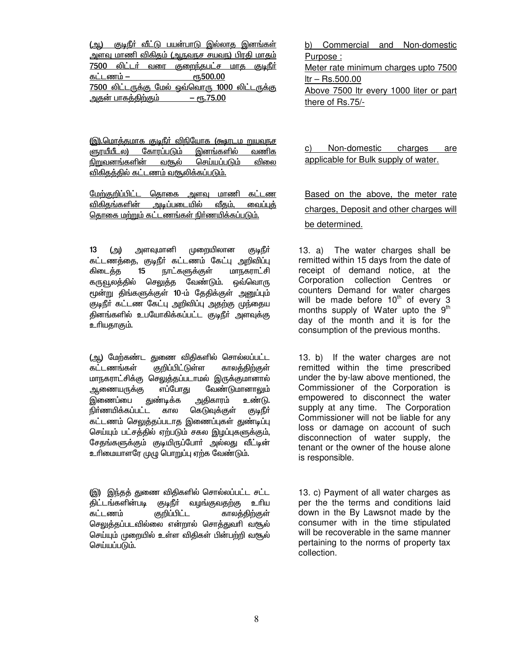|                                                       |                           |  | <u>(அ.) குடிநீர் வீட்டு பயன்பாடு இல்லாத இனங்கள்</u> |                  |  |  |  |  |
|-------------------------------------------------------|---------------------------|--|-----------------------------------------------------|------------------|--|--|--|--|
|                                                       |                           |  | <u>அளவு மாணி விகிதம் (ஆநவநச சயவந) பிரதி மாதம்</u>   |                  |  |  |  |  |
|                                                       |                           |  | 7500 லிட்டர் வரை குறைந்தபட்ச மாத குடிநீர்           |                  |  |  |  |  |
| கட்டணம் –                                             |                           |  |                                                     | <b>е</b> ҧ500.00 |  |  |  |  |
| <u>7500 லிட்டருக்கு மேல் ஒவ்வொரு 1000 லிட்டருக்கு</u> |                           |  |                                                     |                  |  |  |  |  |
|                                                       | <u>அதன் பாகத்திற்கும்</u> |  | $-$ eg. 75.00                                       |                  |  |  |  |  |

<u>(இ).மொத்தமாக குடிநீர் விநியோக (கூடிய றுயவநச</u> ளுரயீயீடல) கோரப்படும் இனங்களில் வணிக வசூல் செய்யப்படும் <u>நிறுவனங்களின்</u> விலை விகிதத்தில் கட்டணம் வரூலிக்கப்படும்.

<u>மேற்குறிப்பிட்ட தொகை அளவு மாணி கட்டண</u> விகிகங்களின் அடிப்படையில் வீதம், வைப்புத் தொகை மற்றும் கட்டணங்கள் நிர்ணயிக்கப்படும்.

அளவுமானி முறையிலான  $13$ (அ) (குடிநீர் கட்டணத்தை, குடிநீர் கட்டணம் கேட்பு அறிவிப்பு கிடைத்த  $15$ நாட்களுக்குள் மாநகராட்சி கருவூலத்தில் செலுத்த வேண்டும். ஒவ்வொரு மூன்று திங்களுக்குள் 10-ம் தேதிக்குள் அனுப்பும் குடிநீர் கட்டண கேட்பு அறிவிப்பு அதற்கு முந்தைய கினங்களில் உபயோகிக்கப்பட்ட குடிநீா் அளவுக்கு உரியதாகும்.

(ஆ) மேற்கண்ட துணை விதிகளில் சொல்லப்பட்ட கட்டணங்கள் குறிப்பிட்டுள்ள காலத்திற்குள் மாநகராட்சிக்கு செலுத்தப்படாமல் இருக்குமானால் ஆணையரு**க்**கு எப்போகு வேண்டுமானாலும் துண்டிக்க அதிகாரம் இணைப்பை உண்டு. நிர்ணயிக்கப்பட்ட கெடுவுக்குள் கால (குடிநீர் கட்டணம் செலுத்தப்படாத இணைப்புகள் துண்டிப்பு செய்யும் பட்சத்தில் ஏற்படும் சகல இழப்புகளுக்கும், சேதங்களுக்கும் குடியிருப்போர் அல்லது வீட்டின் உரிமையாளரே முமு பொறுப்பு ஏற்க வேண்டும்.

(இ) இந்தத் துணை விதிகளில் சொல்லப்பட்ட சட்ட திட்டங்களின்படி குடிநீா் வழங்குவதற்கு உரிய கட்டணம் குறிப்பிட்ட காலத்திற்குள் செலுத்தப்படவில்லை என்றால் சொத்துவரி வசூல் செய்யும் முறையில் உள்ள விதிகள் பின்பற்றி வசூல் செய்யப்படும்.

b) Commercial and Non-domestic Purpose: Meter rate minimum charges upto 7500  $I$ tr – Rs.500.00 Above 7500 Itr every 1000 liter or part there of Rs.75/-

Non-domestic charges C) are applicable for Bulk supply of water.

Based on the above, the meter rate charges, Deposit and other charges will be determined.

The water charges shall be 13. a) remitted within 15 days from the date of receipt of demand notice, at the Corporation collection Centres or counters Demand for water charges will be made before 10<sup>th</sup> of every 3 months supply of Water upto the 9<sup>th</sup> day of the month and it is for the consumption of the previous months.

13. b) If the water charges are not remitted within the time prescribed under the by-law above mentioned, the Commissioner of the Corporation is empowered to disconnect the water supply at any time. The Corporation Commissioner will not be liable for any loss or damage on account of such disconnection of water supply, the tenant or the owner of the house alone is responsible.

13. c) Payment of all water charges as per the the terms and conditions laid down in the By Lawsnot made by the consumer with in the time stipulated will be recoverable in the same manner pertaining to the norms of property tax collection.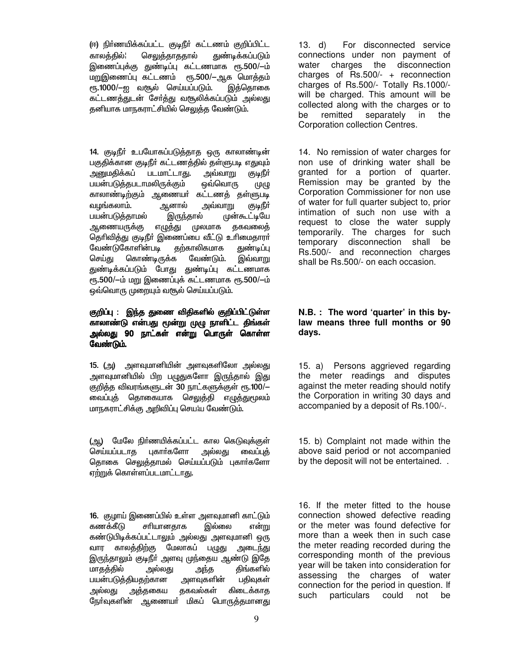(ஈ) நிா்ணயிக்கப்பட்ட குடிநீா் கட்டணம் குறிப்பிட்ட துண்டிக்கப்படும் காலத்தில்¦ செலுத்தாததால் இணைப்புக்கு துண்டிப்பு கட்டணமாக ரூ.500/-ம் மறுஇணைப்பு கட்டணம் ரூ.500/-ஆக மொத்தம் ரூ.1000/ $-$ ஐ வசூல் செய்யப்படும். இத்தொகை கட்டணத்துடன் சேர்த்து வசூலிக்கப்படும் அல்லது தனியாக மாநகராட்சியில் செலுத்த வேண்டும்.

14. குடிநீர் உபயோகப்படுத்தாத ஒரு காலாண்டின் பகுதிக்கான குடிநீர் கட்டணத்தில் தள்ளுபடி எதுவும் அனுமதிக்கப் <u>படமாட்டாது.</u> அவ்வாறு குடிநீர் பயன்படுத்தபடாமலிருக்கும் ஒவ்வொரு (ழ**ழு** காலாண்டிற்கும் ஆணையர் கட்டணத் தள்ளுபடி ஆனால் வழங்கலாம். <u>அவ்வாறு</u> ருடிநீர் பயன்படுத்தாமல் இருந்தால் முன்கூட்டியே <u>ஆணையருக்கு</u> எழுத்து முலமாக தகவலைத் தெரிவித்து குடிநீர் இணைப்பை வீட்டு உரிமைதாரர் வேண்டுகோளின்படி தற்காலிகமாக துண்டிப்பு செய்து கொண்டிருக்க வேண்டும். இவ்வாறு துண்டிக்கப்படும் போது துண்டிப்பு கட்டணமாக ரூ.500/-ம் மறு இணைப்புக் கட்டணமாக ரூ.500/-ம் ஒவ்வொரு முறையும் வசூல் செய்யப்படும்.

### குறிப்பு : இந்த துணை விதிகளில் குறிப்பிட்டுள்ள காலாண்டு என்பது மூன்று முழு நாளிட்ட திங்கள் அல்லது 90 நாட்கள் என்று பொருள் கொள்ள வேண்டும்.

15. (அ) அளவுமானியின் அளவுகளிலோ அல்லது அளவுமானியில் பிற பழுதுகளோ இருந்தால் இது குறித்த விவரங்களுடன் 30 நாட்களுக்குள் ரூ.100/-தொகையாக செலுத்தி எழுத<u>்த</u>ுமூலம் வைப்புத் மாநகராட்சிக்கு அறிவிப்பு செய¦ய வேண்டும்.

(ஆ) மேலே நிர்ணயிக்கப்பட்ட கால கெடுவக்குள் செய்யப்படாக புகார்களோ அல்லகு வைப்பக் தொகை செலுக்காமல் செய்யப்படும் புகார்களோ ஏற்றுக் கொள்ளப்படமாட்டாகு.

16. குமாய் இணைப்பில் உள்ள அளவுமானி காட்டும் கணக்கீடு சரியானகாக இல்லை என்று கண்டுபிடிக்கப்பட்டாலும் அல்லது அளவுமானி ஒரு வார காலத்திற்கு மேலாகப் பழுது அடை<u>ந்த</u>ு இருந்தாலும் குடிநீர் அளவு முந்தைய ஆண்டு இதே மாகக்கில் அல்லகு கிங்களில் அந்த பயன்படுத்தியதற்கான பதிவுகள் அளவுகளின் கிடைக்காத அத்தகைய தகவல்கள் அல்லது ரேர்வுகளின் ஆணையர் மிகப் பொருக்குமான**கு** 

 $13. d)$ For disconnected service connections under non payment of water charges the disconnection charges of  $\text{Rs.}500/-$  + reconnection charges of Rs.500/- Totally Rs.1000/will be charged. This amount will be collected along with the charges or to remitted separately in the be Corporation collection Centres.

14. No remission of water charges for non use of drinking water shall be granted for a portion of quarter. Remission may be granted by the Corporation Commissioner for non use of water for full quarter subject to, prior intimation of such non use with a request to close the water supply temporarily. The charges for such temporary disconnection shall be Rs.500/- and reconnection charges shall be Rs.500/- on each occasion.

#### N.B. : The word 'quarter' in this bylaw means three full months or 90 days.

15. a) Persons aggrieved regarding the meter readings and disputes against the meter reading should notify the Corporation in writing 30 days and accompanied by a deposit of Rs.100/-.

15. b) Complaint not made within the above said period or not accompanied by the deposit will not be entertained. .

16. If the meter fitted to the house connection showed defective reading or the meter was found defective for more than a week then in such case the meter reading recorded during the corresponding month of the previous year will be taken into consideration for assessing the charges of water connection for the period in question. If such particulars could not be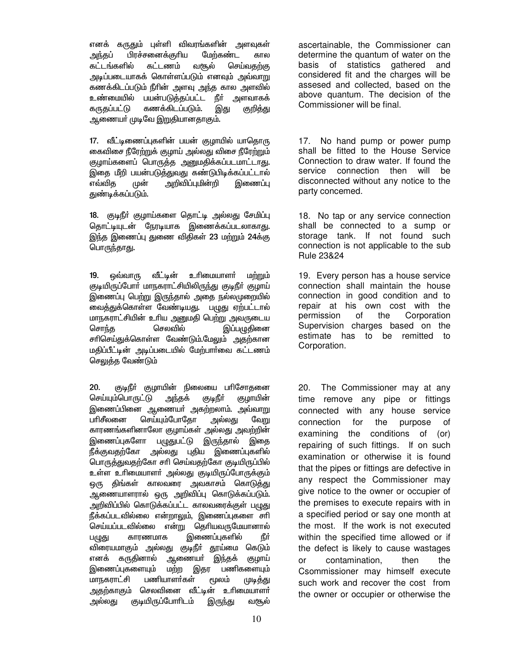எனக் கருதும் புள்ளி விவரங்களின் அளவுகள் அந்தப் பிரச்சனைக்குரிய மேற்கண்ட கால கட்டங்களில் கட்டணம் வசூல் செய்வதற்கு அடிப்படையாகக் கொள்ளப்படும் எனவும் அவ்வாறு கணக்கிடப்படும் நீரின் அளவு அந்த கால அளவில் உண்மையில் பயன்படுத்தப்பட்ட நீா் அளவாகக் கருதப்பட்டு கணக்கிடப்படும். இது குறித்து ஆணையா் முடிவே இறுதியானதாகும்.

17. வீட்டிணைப்புகளின் பயன் குழாயில் யாதொரு கைவிசை நீரேற்றுக் குழாய் அல்லது விசை நீரேற்றும் குழாய்களைப் பொருத்த அனுமதிக்கப்படமாட்டாது. இதை மீறி பயன்படுத்துவது கண்டுபிடிக்கப்பட்டால் எவ்வித அறிவிப்புமின்றி இணைப்பு முன் துண்டிக்கப்படும்.

18. குடிநீா் குழாய்களை தொட்டி அல்லது சேமிப்பு தொட்டியுடன் நேரடியாக இணைக்கப்படலாகாது. இந்த இணைப்பு துணை விதிகள் 23 மற்றும் 24க்கு பொருந்தாது.

வீட்டின் உரிமையாளர்  $19<sub>1</sub>$ ஒவ்வாரு மற்றும் குடியிருப்போர் மாநகராட்சியிலிருந்து குடிநீர் குழாய் இணைப்பு பெற்று இருந்தால் அதை நல்லமுறையில் ...<br>வைத்துக்கொள்ள வேண்டியது. பழுது ஏற்பட்டால் மாநகராட்சியின் உரிய அனுமதி பெற்று அவருடைய செலவில் சொந்த இப்பமுதினை சாிசெய்துக்கொள்ள வேண்டும்.மேலும் அதற்கான மதிப்பீட்டின் அடிப்படையில் மேற்பார்வை கட்டணம் செலுத்த வேண்டும்

 $20.$ குடிநீா் குழாயின் நிலையை பாிசோதனை செய்யும்பொருட்டு அந்தக் குடிநீர் குழாயின் இணைப்பினை ஆணையா் அகற்றலாம். அவ்வாறு பரிசீலனை செய்யும்போதோ அல்லது வேறு காரணங்களினாலோ குழாய்கள் அல்லது அவற்றின் இணைப்புகளோ பழுதுபட்டு இருந்தால் இதை நீக்குவதற்கோ அல்லது புதிய இணைப்புகளில் பொருத்துவதற்கோ சாி செய்வதற்கோ குடியிருப்பில் உள்ள உரிமையாளா் அல்லது குடியிருப்போருக்கும் ஒரு திங்கள் காலவரை அவகாசம் கொடுத்து ஆணையாளரால் ஒரு அறிவிப்பு கொடுக்கப்படும். அறிவிப்பில் கொடுக்கப்பட்ட காலவரைக்குள் பழுது நீக்கப்படவில்லை என்றாலும், இணைப்புகளை சாி செய்யப்படவில்லை என்று தெரியவருமேயானால் காரணமாக இணைப்புகளில் नैं, ज பழுது விரையமாகும் அல்லது குடிநீா் தூய்மை கெடும் எனக் கருதினால் ஆணையா் இந்தக் குழாய் இணைப்புகளையும் மற்ற இதர பணிகளையம் மாநகராட்சி பணியாளர்கள் மூலம் (மடித்து அதற்காகும் செலவினை வீட்டின் உரிமையாளா் அல்லகு குடியிருப்போரிடம் வசூல் இருந்து

ascertainable, the Commissioner can determine the quantum of water on the basis of statistics gathered and considered fit and the charges will be assesed and collected, based on the above quantum. The decision of the Commissioner will be final.

No hand pump or power pump 17. shall be fitted to the House Service Connection to draw water. If found the service connection then will be disconnected without any notice to the party concemed.

18. No tap or any service connection shall be connected to a sump or storage tank. If not found such connection is not applicable to the sub Rule 23&24

19. Every person has a house service connection shall maintain the house connection in good condition and to repair at his own cost with the Corporation permission the of Supervision charges based on the estimate has to be remitted to Corporation.

The Commissioner may at any  $20.$ time remove any pipe or fittings connected with any house service connection for the purpose of examining the conditions of  $($ or $)$ repairing of such fittings. If on such examination or otherwise it is found that the pipes or fittings are defective in any respect the Commissioner may give notice to the owner or occupier of the premises to execute repairs with in a specified period or say one month at the most. If the work is not executed within the specified time allowed or if the defect is likely to cause wastages **or** contamination, then the Csommissioner may himself execute such work and recover the cost from the owner or occupier or otherwise the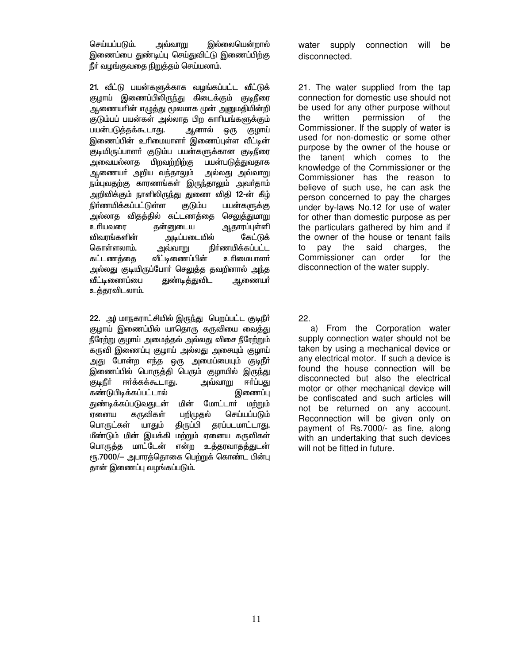செய்யப்படும். <u>அவ்வாறு</u> இல்லையென்றால் இணைப்பை துண்டிப்பு செய்துவிட்டு இணைப்பிற்கு நீா் வழங்குவதை நிறுத்தம் செய்யலாம்.

21. வீட்டு பயன்களுக்காக வழங்கப்பட்ட வீட்டுக் குழாய் இணைப்பிலிருந்து கிடைக்கும் குடிநீரை ஆணையாின் எழுத்து மூலமாக முன் அனுமதியின்றி குடும்பப் பயன்கள் அல்லாத பிற காரியங்களுக்கும் பயன்படுத்தக்கூடாது. ஆனால் குழாய் ஒரு இணைப்பின் உரிமையாளர் இணைப்புள்ள வீட்டின் குடியிருப்பாளா் குடும்ப பயன்களுக்கான குடிநீரை அவையல்லாத பிறவற்றிற்கு பயன்படுத்துவதாக ஆணையா் அறிய வந்தாலும் அல்லது அவ்வாறு நம்புவதற்கு காரணங்கள் இருந்தாலும் அவர்தாம் அறிவிக்கும் நாளிலிருந்து துணை விதி 12-ன் கீழ் நிர்ணயிக்கப்பட்டுள்ள பயன்களுக்கு குடும்ப அல்லாத விதத்தில் கட்டணத்தை செலுத்துமாறு உரியவரை தன்னுடைய <u>ஆ</u>தாரப்புள்ளி விவாங்களின் அடிப்படையில் கேட்டுக் நிர்ணயிக்கப்பட்ட கொள்ளலாம். அவ்வாறு வீட்டிணைப்பின் கட்டணத்தை உரிமையாளர் அல்லது குடியிருப்போர் செலுத்த தவறினால் அந்த வீட்டிணைப்பை துண்டித்துவிட ஆணையா் உத்தரவிடலாம்.

22. அ) மாநகராட்சியில் இருந்து பெறப்பட்ட குடிநீர் குழாய் இணைப்பில் யாதொரு கருவியை வைத்து நீரேற்று குழாய் அமைத்தல் அல்லது விசை நீரேற்றும் .<br>கருவி இணைப்பு குழாய் அல்லது அசையும் குழாய் அது போன்ற எந்த ஒரு அமைப்பையும் குடிநீா் இணைப்பில் பொருத்தி பெரும் குழாயில் இரு<u>ந்</u>து ரிடிப் ஈர்க்கக்கூடாகு. <u>அவ்வாறு</u> ஈர்ப்பது கண்டுபிடிக்கப்பட்டால் இணைப்பு துண்டிக்கப்படுவதுடன் மின் மோட்டார் மற்றும் ஏனைய கருவிகள் பறிமுதல் செய்யப்படும் பொருட்கள் யாதும் திருப்பி தரப்படமாட்டாகு. மீண்டும் மின் இயக்கி மற்றும் ஏனைய கருவிகள் பொருத்த மாட்டேன் என்ற உத்தரவாதத்துடன் ரூ.7000/— அபாரத்தொகை பெற்றுக் கொண்ட பின்பு தான் இணைப்பு வழங்கப்படும்.

water supply connection will be disconnected.

21. The water supplied from the tap connection for domestic use should not be used for any other purpose without of written permission the the Commissioner. If the supply of water is used for non-domestic or some other purpose by the owner of the house or the tanent which comes to the knowledge of the Commissioner or the Commissioner has the reason to believe of such use, he can ask the person concerned to pay the charges under by-laws No.12 for use of water for other than domestic purpose as per the particulars gathered by him and if the owner of the house or tenant fails pay the said charges, to the Commissioner can order for the disconnection of the water supply.

 $22.$ 

a) From the Corporation water supply connection water should not be taken by using a mechanical device or any electrical motor. If such a device is found the house connection will be disconnected but also the electrical motor or other mechanical device will be confiscated and such articles will not be returned on any account. Reconnection will be given only on payment of Rs.7000/- as fine, along with an undertaking that such devices will not be fitted in future.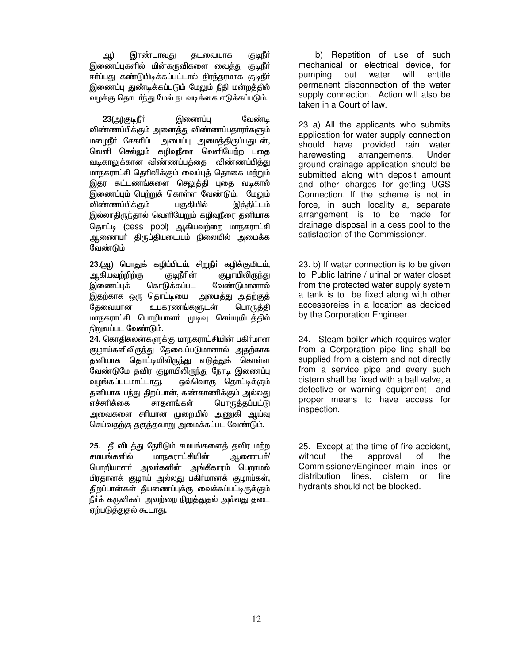இரண்டாவது ஆ) தடவையாக ருடிநீா் இணைப்புகளில் மின்கருவிகளை வைத்து குடிநீர் ஈர்ப்பது கண்டுபிடிக்கப்பட்டால் நிரந்தரமாக குடிநீர் இணைப்பு துண்டிக்கப்படும் மேலும் நீதி மன்றத்தில் வழக்கு தொடர்ந்து மேல் நடவடிக்கை எடுக்கப்படும்.

23(அ)குடிநீர் இணைப்பு வேண்ட விண்ணப்பிக்கும் அனைத்து விண்ணப்பதாரா்களும் மழைநீா் சேகாிப்பு அமைப்பு அமைத்திருப்பதுடன், வெளி செல்லும் கழிவுநீரை வெளியேற்ற புதை வடிகாலுக்கான விண்ணப்பத்தை விண்ணப்பித்து மாநகராட்சி தெரிவிக்கும் வைப்புத் தொகை மற்றும் இதர கட்டணங்களை செலுத்தி புதை வடிகால் இணைப்பும் பெற்றுக் கொள்ள வேண்டும். மேலும் விண்ணப்பிக்கும் பகுதியில் இத்திட்டம் இல்லாதிருந்தால் வெளியேறும் கழிவுநீரை தனியாக தொட்டி (cess pool) ஆகியவற்றை மாநகராட்சி ஆணையா் திருப்தியடையும் நிலையில் அமைக்க வேண்டும்

23.(ஆ) பொதுக் கழிப்பிடம், சிறுநீர் கழிக்குமிடம், ஆகியவற்றிற்கு குடிநீரின் குழாயிலிரு<u>ந்து</u> இணைப்புக் கொடுக்கப்பட வேண்டுமானால் இதற்காக ஒரு தொட்டியை அமைத்து அதற்குத் கேவையான உபகரணங்களுடன் பொருத்தி மாநகராட்சி பொறியாளா் முடிவு செய்யுமிடத்தில் நிறுவப்பட வேண்டும்.

24. கொதிகலன்களுக்கு மாநகராட்சியின் பகிர்மான குழாய்களிலிருந்து தேவைப்படுமானால் அதற்காக தனியாக தொட்டியிலிருந்து எடுத்துக் கொள்ள வேண்டுமே தவிர குழாயிலிருந்து நேரடி இணைப்பு <u>வழங்கப்படமாட்டாது.</u> ஓவ்வொரு தொட்டிக்கும் தனியாக பந்து திறப்பான், கண்காணிக்கும் அல்லது எச்சரிக்கை சாதனங்கள் பொருத்தப்பட்டு அவைகளை சாியான முறையில் அணுகி ஆய்வு செய்வதற்கு தகுந்தவாறு அமைக்கப்பட வேண்டும்.

25. தீ விபத்து நேரிடும் சமயங்களைத் தவிர மற்ற சமயங்களில் மாநகராட்சியின் ஆணையா்/ பொறியாளா் அவா்களின் அங்கீகாரம் பெறாமல் பிரதானக் குழாய் அல்லது பகிா்மானக் குழாய்கள், திறப்பான்கள் தீயணைப்புக்கு வைக்கப்பட்டிருக்கும் நீர்க் கருவிகள் அவற்றை நிறுத்துதல் அல்லது தடை ஏற்படுத்துதல் கூடாது.

b) Repetition of use of such mechanical or electrical device, for pumping out water will entitle permanent disconnection of the water supply connection. Action will also be taken in a Court of law.

23 a) All the applicants who submits application for water supply connection should have provided rain water arrangements. Under harewesting ground drainage application should be submitted along with deposit amount and other charges for getting UGS Connection. If the scheme is not in force, in such locality a, separate arrangement is to be made for drainage disposal in a cess pool to the satisfaction of the Commissioner.

23. b) If water connection is to be given to Public latrine / urinal or water closet from the protected water supply system a tank is to be fixed along with other accessoreies in a location as decided by the Corporation Engineer.

24. Steam boiler which requires water from a Corporation pipe line shall be supplied from a cistern and not directly from a service pipe and every such cistern shall be fixed with a ball valve, a detective or warning equipment and proper means to have access for inspection.

25. Except at the time of fire accident. without the approval of the Commissioner/Engineer main lines or distribution lines. cistern or fire hydrants should not be blocked.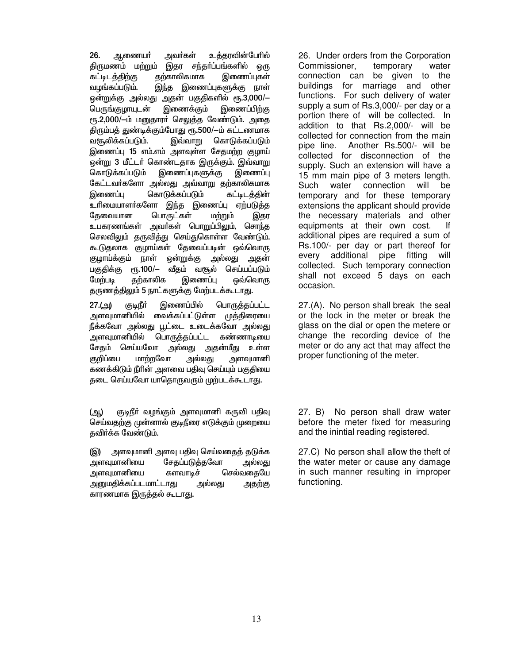26. அவர்கள் உக்காவின்பேரில் ஆணையா் திருமணம் மற்றும் இதர சந்தா்ப்பங்களில் ஒரு இணைப்புகள் கற்காலிகமாக கட்டிடத்திற்கு வழங்கப்படும். <u>இந்த</u> இணைப்புகளுக்கு நாள் ஒன்றுக்கு அல்லது அதன் பகுதிகளில் ரூ.3,000/— இணைக்கும் இணைப்பிற்கு பெருங்குழாயுடன் ரூ.2,000/-ம் மனுதாரா் செலுத்த வேண்டும். அதை திரும்பத் துண்டிக்கும்போது ரூ.500/-ம் கட்டணமாக இவ்வாறு வசூலிக்கப்படும். கொடுக்கப்படும் இணைப்பு 15 எம்.எம் அளவுள்ள சேதமற்ற குழாய் ஒன்று 3 மீட்டர் கொண்டதாக இருக்கும். இவ்வாறு இணைப்புகளுக்கு கொடுக்கப்படும் இணைப்பு கேட்டவா்களோ அல்லது அவ்வாறு தற்காலிகமாக கொடுக்கப்படும் இணைப்பு கட்டிடத்தின் உரிமையாளர்களோ இந்த இணைப்பு ஏற்படுத்த பொருட்கள் கேவையான மற்றும் இதர உபகரணங்கள் அவர்கள் பொறுப்பிலும், சொந்த செலவிலும் குருவிக்கு செய்துகொள்ள வேண்டும். கூடுதலாக குழாய்கள் தேவைப்படின் ஒவ்வொரு குழாய்க்கும் நாள் ஒன்றுக்கு அல்லது அதன் பகுதிக்கு ரூ.100/– வீதம் வசூல் செய்யப்படும் மேற்படி கற்காலிக இணைப்பு ஒவ்வொரு தருணத்திலும் 5 நாட்களுக்கு மேற்படக்கூடாது.

இணைப்பில் பொருத்தப்பட்ட  $27.(9)$ ரிஅது) அளவுமானியில் வைக்கப்பட்டுள்ள முத்திரையை நீக்கவோ அல்லது பூட்டை உடைக்கவோ அல்லது அளவுமானியில் பொருத்தப்பட்ட கண்ணாடியை சேதம் செய்யவோ அல்லது அதன்மீது உள்ள குறிப்பை மாற்றவோ அல்லது அளவுமானி கணக்கிடும் நீரின் அளவை பதிவு செய்யும் பகுதியை தடை செய்யவோ யாதொருவரும் முற்படக்கூடாது.

குடிநீா் வழங்கும் அளவுமானி கருவி பதிவு (ஆ) செய்வதற்கு முன்னால் குடிநீரை எடுக்கும் முறையை தவிர்க்க வேண்டும்.

அளவுமானி அளவு பதிவு செய்வதைத் தடுக்க (இ) அளவுமானியை சேகப்படுக்கவோ அல்ல<u>க</u>ு அளவுமானியை களவாடிச் செல்வதையே அனுமதிக்கப்படமாட்டாது அல்லது அதற்கு காரணமாக இருத்தல் கூடாது.

26. Under orders from the Corporation Commissioner, temporary water connection can be given to the buildings for marriage and other functions. For such delivery of water supply a sum of Rs.3,000/- per day or a portion there of will be collected. In addition to that Rs.2,000/- will be collected for connection from the main pipe line. Another Rs.500/- will be collected for disconnection of the supply. Such an extension will have a 15 mm main pipe of 3 meters length. Such water connection will be temporary and for these temporary extensions the applicant should provide the necessary materials and other equipments at their own cost.  $|f|$ additional pipes are required a sum of Rs.100/- per day or part thereof for every additional pipe fitting will collected. Such temporary connection shall not exceed 5 days on each occasion.

27.(A). No person shall break the seal or the lock in the meter or break the glass on the dial or open the metere or change the recording device of the meter or do any act that may affect the proper functioning of the meter.

No person shall draw water 27. B) before the meter fixed for measuring and the inintial reading registered.

27.C) No person shall allow the theft of the water meter or cause any damage in such manner resulting in improper functioning.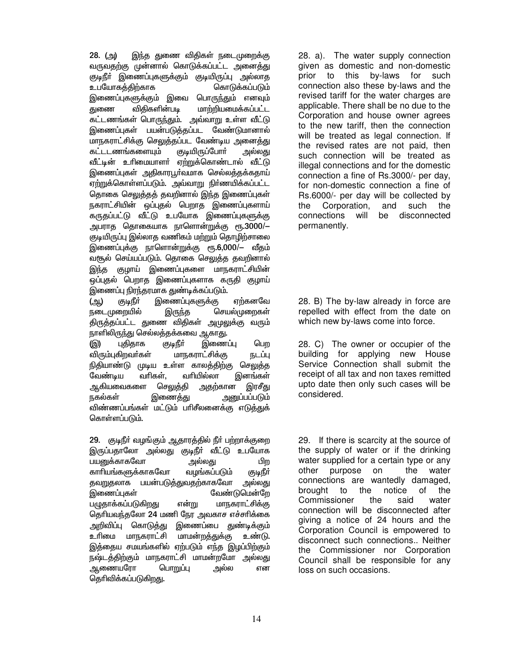இந்த துணை விதிகள் நடைமுறைக்கு 28. (அ) வருவதற்கு முன்னால் கொடுக்கப்பட்ட அனைத்<u>கு</u> குடிநீா் இணைப்புகளுக்கும் குடியிருப்பு அல்லாத உபயோகக்கிற்காக கொடுக்கப்படும் இணைப்புகளுக்கும் இவை பொருந்தும் எனவும் விகிகளின்படி மாற்றியமைக்கப்பட்ட குணை கட்டணங்கள் பொருந்தும். அவ்வாறு உள்ள வீட்டு இணைப்புகள் பயன்படுக்கப்பட வேண்டுமானால் மாநகராட்சிக்கு செலுக்கப்பட வேண்டிய அனைக்கு கட்டடணங்களையும் குடியிருப்போா் அல்லகு வீட்டின் உரிமையாளர் ஏற்றுக்கொண்டால் வீட்டு இணைப்புகள் அதிகாரபூர்வமாக செல்லத்தக்கதாய் எற்றுக்கொள்ளப்படும். அவ்வாறு நிர்ணயிக்கப்பட்ட தொகை செலுத்தத் தவறினால் இந்த இணைப்புகள் நகராட்சியின் ஒப்புதல் பெறாத இணைப்புகளாய் கருதப்பட்டு வீட்டு உபயோக இணைப்புகளுக்கு அபராத தொகையாக நாளொன்றுக்கு ரூ.3000/— குடியிருப்பு இல்லாக வணிகம் மற்றும் தொழிற்சாலை இணைப்புக்கு நாளொன்றுக்கு ரூ.6,000/— வீதம் வசூல் செய்யப்படும். தொகை செலுத்த தவறினால் இந்த குமாய் இணைப்புகளை மாநகராட்சியின் ஒப்புதல் பெறாத இணைப்புகளாக கருதி குழாய் இணைப்பு நிரந்தரமாக துண்டிக்கப்படும்.

இணைப்புகளுக்கு ருடிநீர் எர்கனவே (ஆ) நடைமுறையில் இருந்த செயல்முறைகள் திருத்தப்பட்ட துணை விதிகள் அமுலுக்கு வரும் நாளிலிருந்து செல்லத்தக்கவை ஆகாது.

இணைப்பு புதிதாக ((இ) ருடிநீர் பெற மாநகராட்சிக்கு விரும்புகிறவர்கள் நடப்பு நிதியாண்டு முடிய உள்ள காலத்திற்கு செலுத்த வேண்டிய வரிகள். வரியில்லா இனங்கள் ஆகியவைகளை செலுத்தி அதற்கான இரசீது நகல்கள் இணைத்து அனுப்பப்படும் விண்ணப்பங்கள் மட்டும் பரிசீலனைக்கு எடுத்துக் கொள்ளப்படும்.

29. குடிநீர் வழங்கும் ஆதாரத்தில் நீர் பற்றாக்குறை இருப்பதாலோ அல்லது குடிநீர் வீட்டு உபயோக பயனுக்காகவோ அல்லது பிற காரியங்களுக்காகவோ வழங்கப்படும் ருடிநீர் <u>தவறுத</u>லாக பயன்படுத்துவதற்காகவோ அல்லது இணைப்புகள் வேண்டுமென்றே பமுதாக்கப்படுகிறது மாநகராட்சிக்கு என்று தெரியவந்தலோ 24 மணி நேர அவகாச எச்சரிக்கை அறிவிப்பு கொடுத<u>்த</u>ு இணைப்பை துண்டிக்கும் உரிமை மாநகராட்சி மாமன்றத்துக்கு உண்டு. இத்தைய சமயங்களில் ஏற்படும் எந்த இழப்பிற்கும் நஷ்டத்திற்கும் மாநகராட்சி மாமன்றமோ அல்லது ஆணையரோ பொறுப்பு அல்ல என தெரிவிக்கப்படுகிறது.

28. a). The water supply connection given as domestic and non-domestic this by-laws for such prior to connection also these by-laws and the revised tariff for the water charges are applicable. There shall be no due to the Corporation and house owner agrees to the new tariff, then the connection will be treated as legal connection. If the revised rates are not paid, then such connection will be treated as illegal connections and for the domestic connection a fine of Rs.3000/- per day, for non-domestic connection a fine of Rs.6000/- per day will be collected by Corporation, the and such the connections will be disconnected permanently.

28. B) The by-law already in force are repelled with effect from the date on which new by-laws come into force.

28. C) The owner or occupier of the building for applying new House Service Connection shall submit the receipt of all tax and non taxes remitted upto date then only such cases will be considered.

29. If there is scarcity at the source of the supply of water or if the drinking water supplied for a certain type or any other purpose on the water connections are wantedly damaged. brought to the notice  $\Omega$ the the said Commissioner water connection will be disconnected after giving a notice of 24 hours and the Corporation Council is empowered to disconnect such connections.. Neither the Commissioner nor Corporation Council shall be responsible for any loss on such occasions.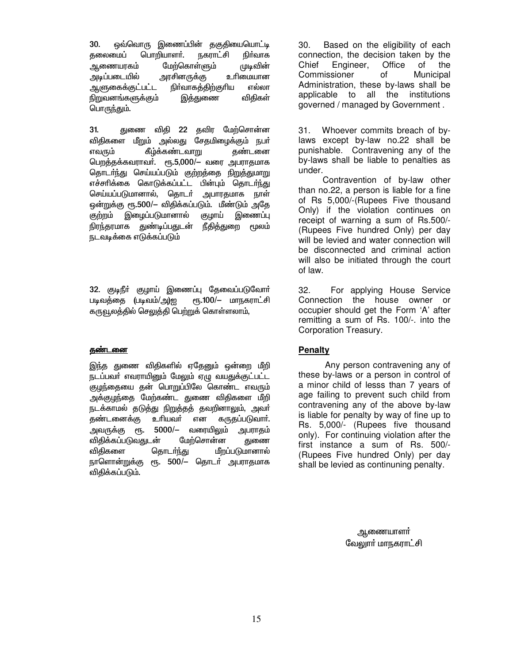ஒவ்வொரு இணைப்பின் தகுதியையொட்டி  $30.$ தலைமைப் பொறியாளர். நகராட்சி நிர்வாக மேற்கொள்ளும் முடிவின் ஆணையரகம் அடிப்படையில் அரசினருக்கு உரிமையான ஆளுகைக்குட்பட்ட நிா்வாகத்திற்குரிய எல்லா <u>நிறுவனங்களுக்கும்</u> இத்துணை விதிகள் பொருந்தும்.

 $31.$ துணை விதி 22 தவிர மேற்சொன்ன விதிகளை மீறும் அல்லது சேதமிழைக்கும் நபர் எவரும் கீழ்க்கண்டவாறு தண்டனை பெறத்தக்கவராவர். ரு.5,000/- வரை அபராதமாக தொடா்ந்து செய்யப்படும் குற்றத்தை நிறுத்துமாறு எச்சரிக்கை கொடுக்கப்பட்ட பின்பும் தொடர்ந்து செய்யப்படுமானால், தொடர் அபாரதமாக நாள் ஒன்றுக்கு ரூ.500/— விதிக்கப்படும். மீண்டும் அதே குற்றம் இழைப்படுமானால் குழாய் இணைப்பு நிரந்தரமாக துண்டிப்பதுடன் நீதித்துறை மூலம் நடவடிக்கை எடுக்கப்படும்

32. குடிநீர் குழாய் இணைப்பு தேவைப்படுவோர் ரூ.100/- மாநகராட்சி படிவத்தை (படிவம்/அ)ஐ கருவூலத்தில் செலுத்தி பெற்றுக் கொள்ளலாம்,

#### <u>தண்டனை</u>

இந்த துணை விதிகளில் ஏதேனும் ஒன்றை மீறி நடப்பவர் எவராயினும் மேலும் ஏழு வயதுக்குட்பட்ட குழந்தையை தன் பொறுப்பிலே கொண்ட எவரும் அக்குழந்தை மேற்கண்ட துணை விதிகளை மீறி நடக்காமல் தடுத்து நிறுத்தத் தவறினாலும், அவர் தண்டனைக்கு உரியவர் என கருதப்படுவார். அவருக்கு ரூ. 5000/— வரையிலும் அபராதம் விதிக்கப்படுவதுடன் மேற்சொன்ன துணை விதிகளை தொடர்ந்து மீறப்படுமானால் நாளொன்றுக்கு ரூ. 500/– தொடர் அபராதமாக விதிக்கப்படும்.

Based on the eligibility of each 30. connection, the decision taken by the Chief Engineer, Office of the Commissioner of Municipal Administration, these by-laws shall be applicable to all the institutions governed / managed by Government.

Whoever commits breach of by-31. laws except by-law no.22 shall be punishable. Contravening any of the by-laws shall be liable to penalties as under.

Contravention of by-law other than no.22, a person is liable for a fine of Rs 5,000/-(Rupees Five thousand Only) if the violation continues on receipt of warning a sum of Rs.500/-(Rupees Five hundred Only) per day will be levied and water connection will be disconnected and criminal action will also be initiated through the court of law.

32. For applying House Service Connection the house owner or occupier should get the Form 'A' after remitting a sum of Rs. 100/-. into the Corporation Treasury.

## **Penalty**

Any person contravening any of these by-laws or a person in control of a minor child of lesss than 7 years of age failing to prevent such child from contravening any of the above by-law is liable for penalty by way of fine up to Rs. 5,000/- (Rupees five thousand only). For continuing violation after the first instance a sum of Rs. 500/-(Rupees Five hundred Only) per day shall be levied as continuning penalty.

> ஆணையாளா் வேலூாா் மாநகராட்சி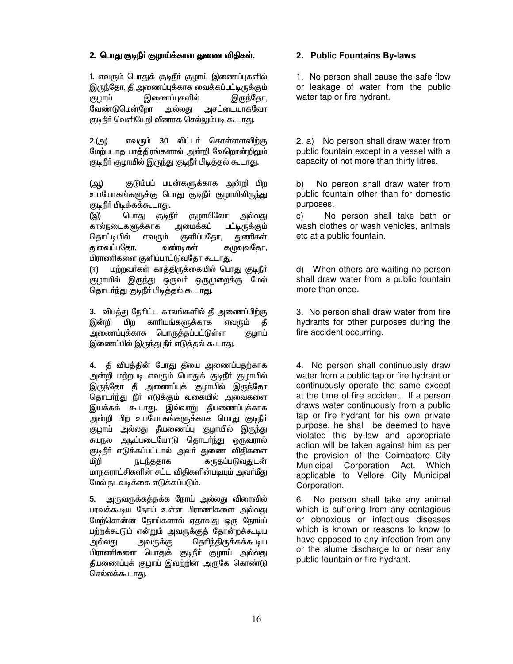## 2. பொது குடிநீர் குழாய்க்கான துணை விதிகள்.

1. எவரும் பொதுக் குடிநீா் குழாய் இணைப்புகளில் இருந்தோ, தீ அணைப்புக்காக வைக்கப்பட்டிருக்கும் இணைப்புகளில் குமாய் இருந்தோ, வேண்டுமென்றோ அல்லகு அசட்டையாகவோ குடிநீர் வெளியேறி வீணாக செல்லும்படி கூடாகு.

எவரும் 30 லிட்டர் கொள்ளளவிற்கு  $2.(\text{m})$ மேற்படாத பாத்திரங்களால் அன்றி வேறொன்றிலும் குடிநீர் குழாயில் இருந்து குடிநீர் பிடித்தல் கூடாது.

குடும்பப் பயன்களுக்காக அன்றி பிற (ஆ) உபயோகங்களுக்கு பொது குடிநீர் குழாயிலிருந்து குடிநீர் பிடிக்கக்கூடாது.

பொகு (இ) ருடிநீர் குழாயிலோ அல்லது அமைக்கப் கால்நடைகளுக்காக பட்டிருக்கும் துணிகள் கொட்டியில் எவரும் குளிப்பகோ. துவைப்பதோ, வண்டிகள் கமுவுவதோ, பிராணிகளை குளிப்பாட்டுவதோ கூடாது.

மற்றவர்கள் காக்கிருக்கையில் பொகு குடிநீர் (ஈ) குழாயில் இருந்து ஒருவர் ஒருமுறைக்கு மேல் தொடர்ந்து குடிநீர் பிடித்தல் கூடாது.

3. விபத்து நேரிட்ட காலங்களில் தீ அணைப்பிற்கு இன்றி பிற காரியங்களுக்காக எவரும் கீ .<br>அணைப்புக்காக பொருத்தப்பட்டுள்ள குமாய் இணைப்பில் இருந்து நீர் எடுத்தல் கூடாது.

4. தீ விபத்தின் போது தீயை அணைப்பதற்காக அன்றி மற்றபடி எவரும் பொதுக் குடிநீா் குழாயில் இருந்தோ தீ அணைப்புக் குழாயில் இருந்தோ தொடர்ந்து நீர் எடுக்கும் வகையில் அவைகளை இயக்கக் கூடாது. இவ்வாறு தீயணைப்புக்காக .<br>அன்றி பிற உபயோகங்களுக்காக பொது குடிநீா் குழாய் அல்லது தீயணைப்பு குழாயில் இருந்து அடிப்படையோடு தொடர்ந்து ஒருவரால் சுயால குடிநீா் எடுக்கப்பட்டால் அவா் துணை விதிகளை மீறி நடந்ததாக கருதப்படுவதுடன் மாநகராட்சிகளின் சட்ட விதிகளின்படியும் அவர்மீது மேல் நடவடிக்கை எடுக்கப்படும்.

5. அருவருக்கத்தக்க நோய் அல்லது விரைவில் பரவக்கூடிய நோய் உள்ள பிராணிகளை அல்லது மேற்சொன்ன நோய்களால் ஏதாவது ஒரு நோய்ப் பற்றக்கூடும் என்றும் அவருக்குத் தோன்றக்கூடிய அல்லது தெரிந்திருக்கக்கூடிய அவருக்கு பிராணிகளை பொதுக் குடிநீா் குழாய் அல்லது தீயணைப்புக் குழாய் இவற்றின் அருகே கொண்டு செல்லக்கூடாகு.

## 2. Public Fountains By-laws

1. No person shall cause the safe flow or leakage of water from the public water tap or fire hydrant.

2. a) No person shall draw water from public fountain except in a vessel with a capacity of not more than thirty litres.

 $b)$ No person shall draw water from public fountain other than for domestic purposes.

 $C)$ No person shall take bath or wash clothes or wash vehicles, animals etc at a public fountain.

d) When others are waiting no person shall draw water from a public fountain more than once.

3. No person shall draw water from fire hydrants for other purposes during the fire accident occurring.

4. No person shall continuously draw water from a public tap or fire hydrant or continuously operate the same except at the time of fire accident. If a person draws water continuously from a public tap or fire hydrant for his own private purpose, he shall be deemed to have violated this by-law and appropriate action will be taken against him as per the provision of the Coimbatore City Municipal Corporation Act. Which applicable to Vellore City Municipal Corporation.

6. No person shall take any animal which is suffering from any contagious or obnoxious or infectious diseases which is known or reasons to know to have opposed to any infection from any or the alume discharge to or near any public fountain or fire hydrant.